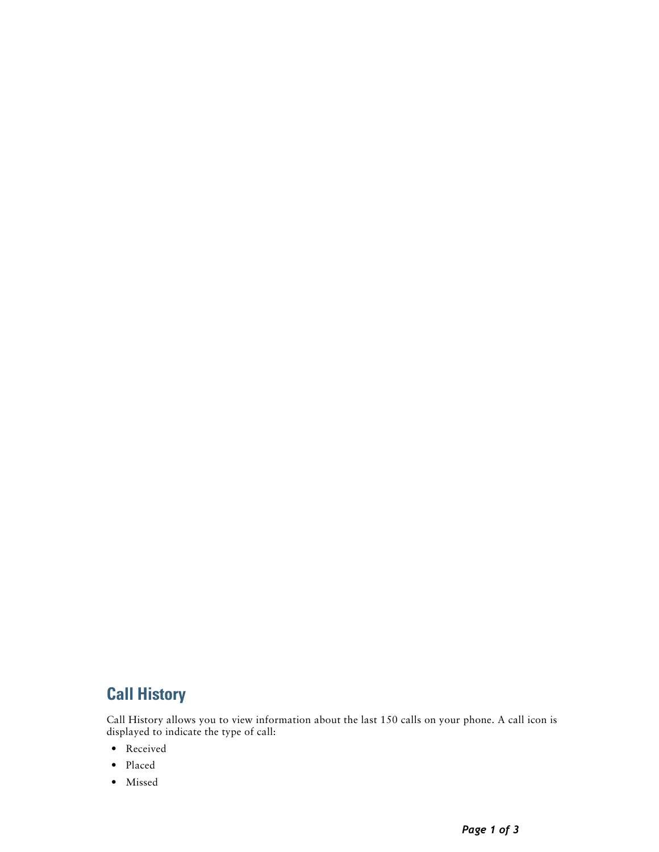# **Call History**

Call History allows you to view information about the last 150 calls on your phone. A call icon is displayed to indicate the type of call:

- **•** Received
- **•** Placed
- **•** Missed

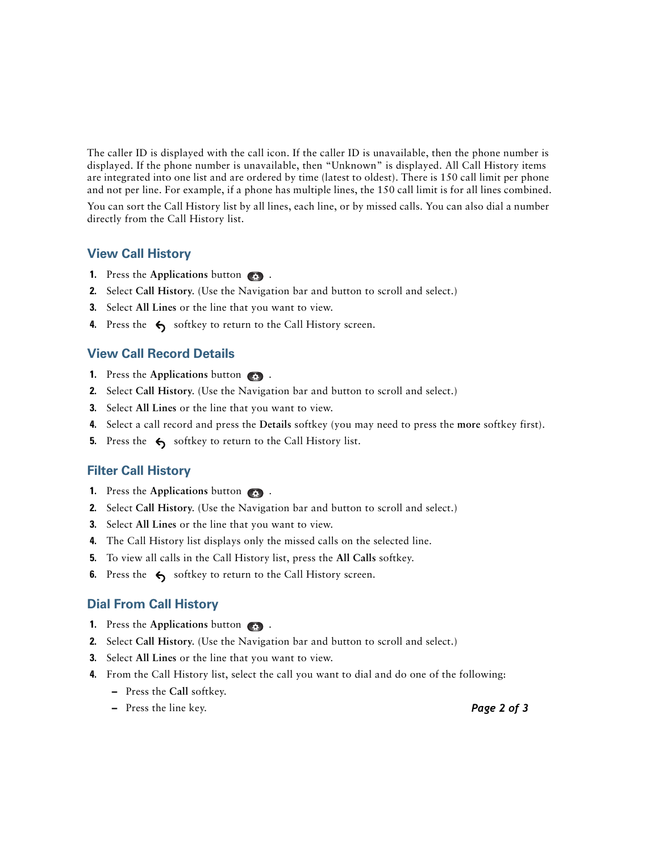The caller ID is displayed with the call icon. If the caller ID is unavailable, then the phone number is displayed. If the phone number is unavailable, then "Unknown" is displayed. All Call History items are integrated into one list and are ordered by time (latest to oldest). There is 150 call limit per phone and not per line. For example, if a phone has multiple lines, the 150 call limit is for all lines combined.

You can sort the Call History list by all lines, each line, or by missed calls. You can also dial a number directly from the Call History list.

# **View Call History**

- **1.** Press the **Applications** button  $\bullet$ .
- **2.** Select **Call History**. (Use the Navigation bar and button to scroll and select.)
- **3.** Select **All Lines** or the line that you want to view.
- **4.** Press the  $\leftarrow$  softkey to return to the Call History screen.

# **View Call Record Details**

- **1.** Press the **Applications** button  $\bullet$ .
- **2.** Select **Call History**. (Use the Navigation bar and button to scroll and select.)
- **3.** Select **All Lines** or the line that you want to view.
- **4.** Select a call record and press the **Details** softkey (you may need to press the **more** softkey first).
- **5.** Press the  $\leftarrow$  softkey to return to the Call History list.

# **Filter Call History**

- **1.** Press the **Applications** button  $\bullet$ .
- **2.** Select **Call History**. (Use the Navigation bar and button to scroll and select.)
- **3.** Select **All Lines** or the line that you want to view.
- **4.** The Call History list displays only the missed calls on the selected line.
- **5.** To view all calls in the Call History list, press the **All Calls** softkey.
- **6.** Press the  $\leftarrow$  softkey to return to the Call History screen.

# **Dial From Call History**

- **1.** Press the **Applications** button .
- **2.** Select **Call History**. (Use the Navigation bar and button to scroll and select.)
- **3.** Select **All Lines** or the line that you want to view.
- **4.** From the Call History list, select the call you want to dial and do one of the following:
	- **–** Press the **Call** softkey.
	- **–** Press the line key.